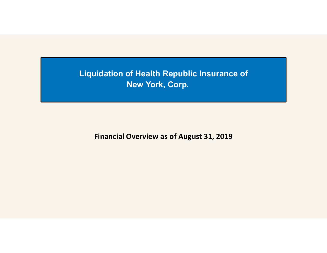Liquidation of Health Republic Insurance of New York, Corp.

Financial Overview as of August 31, 2019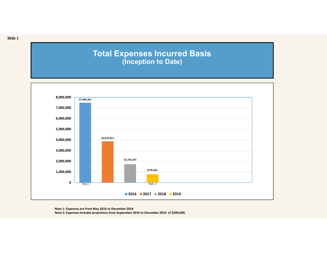## Total Expenses Incurred Basis (Inception to Date)



Note 1: Expenses are from May 2016 to December 2016

Slide 1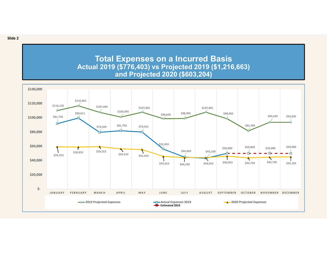Total Expenses on a Incurred Basis Actual 2019 (\$776,403) vs Projected 2019 (\$1,216,663) and Projected 2020 (\$603,204)

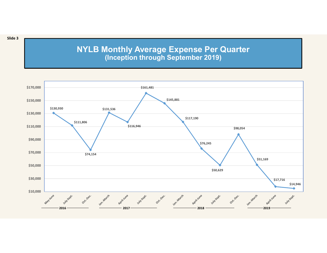## NYLB Monthly Average Expense Per Quarter (Inception through September 2019)



Slide 3